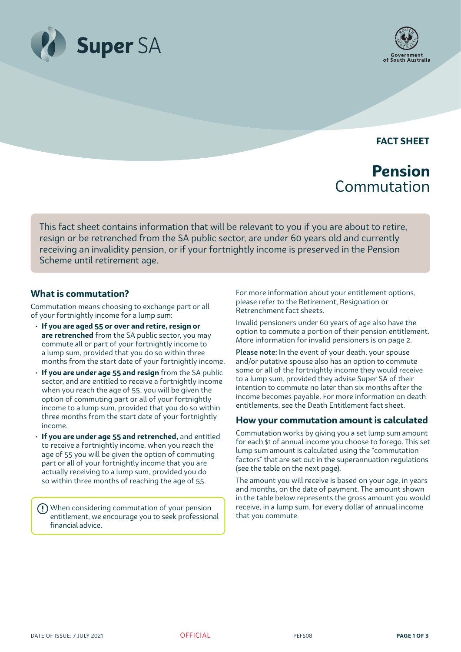



**FACT SHEET**

# **Pension** Commutation

This fact sheet contains information that will be relevant to you if you are about to retire, resign or be retrenched from the SA public sector, are under 60 years old and currently receiving an invalidity pension, or if your fortnightly income is preserved in the Pension Scheme until retirement age.

## **What is commutation?**

Commutation means choosing to exchange part or all of your fortnightly income for a lump sum:

- **If you are aged 55 or over and retire, resign or are retrenched** from the SA public sector, you may commute all or part of your fortnightly income to a lump sum, provided that you do so within three months from the start date of your fortnightly income.
- **If you are under age 55 and resign** from the SA public sector, and are entitled to receive a fortnightly income when you reach the age of 55, you will be given the option of commuting part or all of your fortnightly income to a lump sum, provided that you do so within three months from the start date of your fortnightly income.
- **If you are under age 55 and retrenched,** and entitled to receive a fortnightly income, when you reach the age of 55 you will be given the option of commuting part or all of your fortnightly income that you are actually receiving to a lump sum, provided you do so within three months of reaching the age of 55.

When considering commutation of your pension entitlement, we encourage you to seek professional financial advice.

For more information about your entitlement options, please refer to the Retirement, Resignation or Retrenchment fact sheets.

Invalid pensioners under 60 years of age also have the option to commute a portion of their pension entitlement. More information for invalid pensioners is on page 2.

Please note: In the event of your death, your spouse and/or putative spouse also has an option to commute some or all of the fortnightly income they would receive to a lump sum, provided they advise Super SA of their intention to commute no later than six months after the income becomes payable. For more information on death entitlements, see the Death Entitlement fact sheet.

### **How your commutation amount is calculated**

Commutation works by giving you a set lump sum amount for each \$1 of annual income you choose to forego. This set lump sum amount is calculated using the "commutation factors" that are set out in the superannuation regulations (see the table on the next page).

The amount you will receive is based on your age, in years and months, on the date of payment. The amount shown in the table below represents the gross amount you would receive, in a lump sum, for every dollar of annual income that you commute.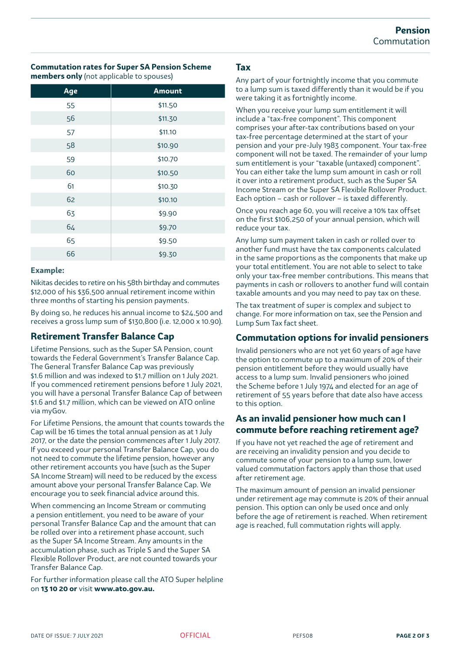#### **Commutation rates for Super SA Pension Scheme members only** (not applicable to spouses)

| Age | <b>Amount</b> |
|-----|---------------|
| 55  | \$11.50       |
| 56  | \$11.30       |
| 57  | \$11.10       |
| 58  | \$10.90       |
| 59  | \$10.70       |
| 60  | \$10.50       |
| 61  | \$10.30       |
| 62  | \$10.10       |
| 63  | \$9.90        |
| 64  | \$9.70        |
| 65  | \$9.50        |
| 66  | \$9.30        |

#### **Example:**

Nikitas decides to retire on his 58th birthday and commutes \$12,000 of his \$36,500 annual retirement income within three months of starting his pension payments.

By doing so, he reduces his annual income to \$24,500 and receives a gross lump sum of \$130,800 (i.e. 12,000 x 10.90).

# **Retirement Transfer Balance Cap**

Lifetime Pensions, such as the Super SA Pension, count towards the Federal Government's Transfer Balance Cap. The General Transfer Balance Cap was previously \$1.6 million and was indexed to \$1.7 million on 1 July 2021. If you commenced retirement pensions before 1 July 2021, you will have a personal Transfer Balance Cap of between \$1.6 and \$1.7 million, which can be viewed on ATO online via myGov.

For Lifetime Pensions, the amount that counts towards the Cap will be 16 times the total annual pension as at 1 July 2017, or the date the pension commences after 1 July 2017. If you exceed your personal Transfer Balance Cap, you do not need to commute the lifetime pension, however any other retirement accounts you have (such as the Super SA Income Stream) will need to be reduced by the excess amount above your personal Transfer Balance Cap. We encourage you to seek financial advice around this.

When commencing an Income Stream or commuting a pension entitlement, you need to be aware of your personal Transfer Balance Cap and the amount that can be rolled over into a retirement phase account, such as the Super SA Income Stream. Any amounts in the accumulation phase, such as Triple S and the Super SA Flexible Rollover Product, are not counted towards your Transfer Balance Cap.

For further information please call the ATO Super helpline on **13 10 20 or** visit **www.ato.gov.au.**

## **Tax**

Any part of your fortnightly income that you commute to a lump sum is taxed differently than it would be if you were taking it as fortnightly income.

When you receive your lump sum entitlement it will include a "tax-free component". This component comprises your after-tax contributions based on your tax-free percentage determined at the start of your pension and your pre-July 1983 component. Your tax-free component will not be taxed. The remainder of your lump sum entitlement is your "taxable (untaxed) component". You can either take the lump sum amount in cash or roll it over into a retirement product, such as the Super SA Income Stream or the Super SA Flexible Rollover Product. Each option – cash or rollover – is taxed differently.

Once you reach age 60, you will receive a 10% tax offset on the first \$106,250 of your annual pension, which will reduce your tax.

Any lump sum payment taken in cash or rolled over to another fund must have the tax components calculated in the same proportions as the components that make up your total entitlement. You are not able to select to take only your tax-free member contributions. This means that payments in cash or rollovers to another fund will contain taxable amounts and you may need to pay tax on these.

The tax treatment of super is complex and subject to change. For more information on tax, see the Pension and Lump Sum Tax fact sheet.

# **Commutation options for invalid pensioners**

Invalid pensioners who are not yet 60 years of age have the option to commute up to a maximum of 20% of their pension entitlement before they would usually have access to a lump sum. Invalid pensioners who joined the Scheme before 1 July 1974 and elected for an age of retirement of 55 years before that date also have access to this option.

## **As an invalid pensioner how much can I commute before reaching retirement age?**

If you have not yet reached the age of retirement and are receiving an invalidity pension and you decide to commute some of your pension to a lump sum, lower valued commutation factors apply than those that used after retirement age.

The maximum amount of pension an invalid pensioner under retirement age may commute is 20% of their annual pension. This option can only be used once and only before the age of retirement is reached. When retirement age is reached, full commutation rights will apply.